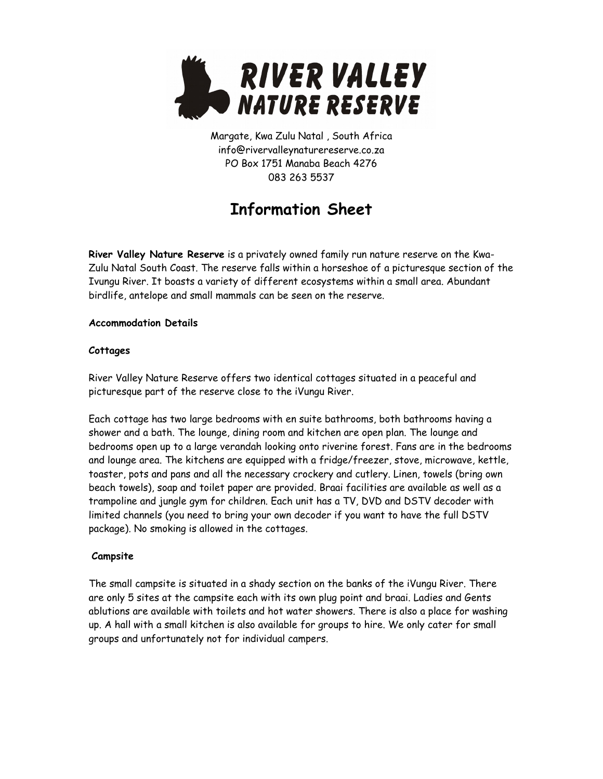

Margate, Kwa Zulu Natal , South Africa info@rivervalleynaturereserve.co.za PO Box 1751 Manaba Beach 4276 083 263 5537

# **Information Sheet**

**River Valley Nature Reserve** is a privately owned family run nature reserve on the Kwa-Zulu Natal South Coast. The reserve falls within a horseshoe of a picturesque section of the Ivungu River. It boasts a variety of different ecosystems within a small area. Abundant birdlife, antelope and small mammals can be seen on the reserve.

## **Accommodation Details**

## **Cottages**

River Valley Nature Reserve offers two identical cottages situated in a peaceful and picturesque part of the reserve close to the iVungu River.

Each cottage has two large bedrooms with en suite bathrooms, both bathrooms having a shower and a bath. The lounge, dining room and kitchen are open plan. The lounge and bedrooms open up to a large verandah looking onto riverine forest. Fans are in the bedrooms and lounge area. The kitchens are equipped with a fridge/freezer, stove, microwave, kettle, toaster, pots and pans and all the necessary crockery and cutlery. Linen, towels (bring own beach towels), soap and toilet paper are provided. Braai facilities are available as well as a trampoline and jungle gym for children. Each unit has a TV, DVD and DSTV decoder with limited channels (you need to bring your own decoder if you want to have the full DSTV package). No smoking is allowed in the cottages.

## **Campsite**

The small campsite is situated in a shady section on the banks of the iVungu River. There are only 5 sites at the campsite each with its own plug point and braai. Ladies and Gents ablutions are available with toilets and hot water showers. There is also a place for washing up. A hall with a small kitchen is also available for groups to hire. We only cater for small groups and unfortunately not for individual campers.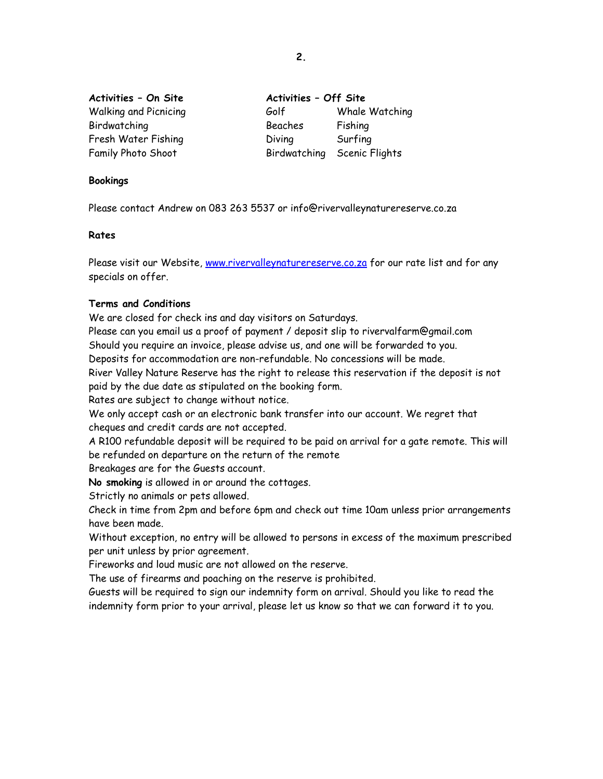| Activities - On Site         | Activities - Off Site |                             |
|------------------------------|-----------------------|-----------------------------|
| <b>Walking and Picnicing</b> | Golf                  | Whale Watching              |
| Birdwatching                 | Beaches               | Fishing                     |
| Fresh Water Fishing          | Diving                | Surfing                     |
| Family Photo Shoot           |                       | Birdwatching Scenic Flights |

**Bookings**

Please contact Andrew on 083 263 5537 or info@rivervalleynaturereserve.co.za

#### **Rates**

Please visit our Website, [www.rivervalleynaturereserve.co.za](http://www.rivervalleynaturereserve.co.za/) for our rate list and for any specials on offer.

#### **Terms and Conditions**

We are closed for check ins and day visitors on Saturdays.

Please can you email us a proof of payment / deposit slip to rivervalfarm@gmail.com Should you require an invoice, please advise us, and one will be forwarded to you.

Deposits for accommodation are non-refundable. No concessions will be made.

River Valley Nature Reserve has the right to release this reservation if the deposit is not paid by the due date as stipulated on the booking form.

Rates are subject to change without notice.

We only accept cash or an electronic bank transfer into our account. We regret that cheques and credit cards are not accepted.

A R100 refundable deposit will be required to be paid on arrival for a gate remote. This will be refunded on departure on the return of the remote

Breakages are for the Guests account.

**No smoking** is allowed in or around the cottages.

Strictly no animals or pets allowed.

Check in time from 2pm and before 6pm and check out time 10am unless prior arrangements have been made.

Without exception, no entry will be allowed to persons in excess of the maximum prescribed per unit unless by prior agreement.

Fireworks and loud music are not allowed on the reserve.

The use of firearms and poaching on the reserve is prohibited.

Guests will be required to sign our indemnity form on arrival. Should you like to read the indemnity form prior to your arrival, please let us know so that we can forward it to you.